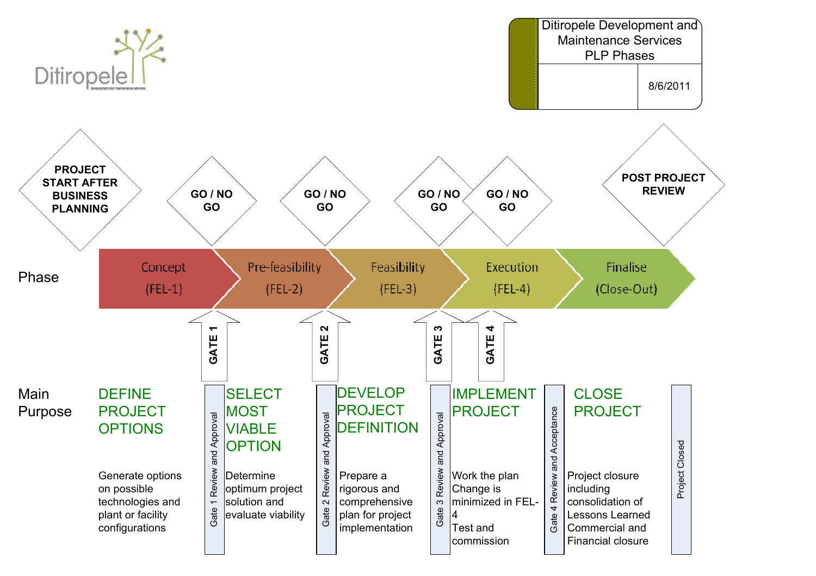